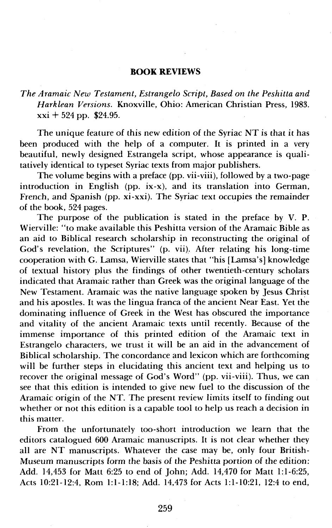## **BOOK REVIEWS**

*The Aramaic New Testament, Estrangelo Script, Based on the Peshitta and Harklean Versions.* Knoxville, Ohio: American Christian Press, 1983.  $xxi + 524$  pp. \$24.95.

The unique feature of this new edition of the Syriac NT is that it has been produced with the help of a computer. It is printed in a very beautiful, newly designed Estrangela script, whose appearance is qualitatively identical to typeset Syriac texts from major publishers.

The volume begins with a preface (pp. vii-viii), followed by a two-page introduction in English (pp. ix-x), and its translation into German, French, and Spanish (pp. xi-xxi). The Syriac text occupies the remainder of the book, 524 pages.

The purpose of the publication is stated in the preface by V. P. Wierville: "to make available this Peshitta version of the Aramaic Bible as an aid to Biblical research scholarship in reconstructing the original of God's revelation, the Scriptures" (p. vii), After relating his long-time cooperation with G. Lamsa, Wierville states that "his [Lamsa's] knowledge of textual history plus the findings of other twentieth-century scholars indicated that Aramaic rather than Greek was the original language of the New Testament. Aramaic was the native language spoken by Jesus Christ and his apostles. It was the lingua franca of the ancient Near East. Yet the dominating influence of Greek in the West has obscured the importance and vitality of the ancient Aramaic texts until recently. Because of the immense importance of this printed edition of the Aramaic text in Estrangelo characters, we trust it will be an aid in the advancement of Biblical scholarship. The concordance and lexicon which are forthcoming will be further steps in elucidating this ancient text and helping us to recover the original message of God's Word" (pp. vii-viii). Thus, we can see that this edition is intended to give new fuel to the discussion of the Aramaic origin of the NT. The present review limits itself to finding out whether or not this edition is a capable tool to help us reach a decision in this matter.

From the unfortunately too-short introduction we learn that the editors catalogued 600 Aramaic manuscripts. It is not clear whether they all are NT manuscripts. Whatever the case may be, only four British-Museum manuscripts form the basis of the Peshitta portion of the edition: Add. 14,453 for Matt 6:25 to end of John; Add. 14,470 for Matt 1:l-6:25, Acts 10:21-12:4, Rom 1:l-1:18; Add. 14,473 for Acts 1:l-10:21, 12:4 to end,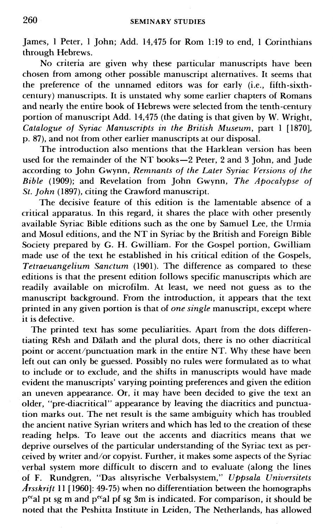James, 1 Peter, 1 John; Add. 14,475 for Rom 1:19 to end, 1 Corinthians through Hebrews.

No criteria are given why these particular manuscripts have been chosen from among other possible manuscript alternatives. It seems that the preference of the unnamed editors was for early (i.e., fifth-sixthcentury) manuscripts. It is unstated why some earlier chapters of Romans and nearly the entire book of Hebrews were selected from the tenth-century portion of manuscript Add. 14,475 (the dating is that given by W. Wright, *Catalogue of Syriac Manuscripts in the British Museum,* part 1 [1870], p. 87), and not from other earlier manuscripts at our disposal.

The introduction also mentions that the Harklean version has been used for the remainder of the NT books-2 Peter, 2 and 3 John, and Jude according to John Gwynn, *Remnants of the Later Syriac Versions of the Bible* (1909); and Revelation from John Gwynn, *The Apocalypse of St. John* (1897), citing the Crawford manuscript.

The decisive feature of this edition is the lamentable absence of a critical apparatus. In this regard, it shares the place with other presently available Syriac Bible editions such as the one by Samuel Lee, the Urmia and Mosul editions, and the NT in Syriac by the British and Foreign Bible Society prepared by G. H. Gwilliam. For the Gospel portion, Gwilliam made use of the text he established in his critical edition of the Gospels, *Tetraeuangelium Sanctum* (1901). The difference as compared to these editions is that the present edition follows specific manuscripts which are readily available on microfilm. At least, we need not guess as to the manuscript background. From the introduction, it appears that the text printed in any given portion is that of *one single* manuscript, except where it is defective.

The printed text has some peculiarities. Apart from the dots differentiating Resh and Dalath and the plural dots, there is no other diacritical point or accent/punctuation mark in the entire NT. Why these have been left out can only be guessed. Possibly no rules were formulated as to what to include or to exclude, and the shifts in manuscripts would have made evident the manuscripts' varying pointing preferences and given the edition an uneven appearance. Or, it may have been decided to give the text an older, "pre-diacritical" appearance by leaving the diacritics and punctuation marks out. The net result is the same ambiguity which has troubled the ancient native Syrian writers and which has led to the creation of these reading helps. To leave out the accents and diacritics means that we deprive ourselves of the particular understanding of the Syriac text as perceived by writer and/or copyist. Further, it makes some aspects of the Syriac verbal system more difficult to discern and to evaluate (along the lines of F. Rundgren, "Das altsyrische Verbalsystem," *Uppsala Universitets Arsskrift* 11 [1960]: 49-75) when no differentiation between the homographs p<sup>ec</sup>al pt sg m and p<sup>ec</sup>al pf sg 3m is indicated. For comparison, it should be noted that the Peshitta Institute in Leiden, The Netherlands, has allowed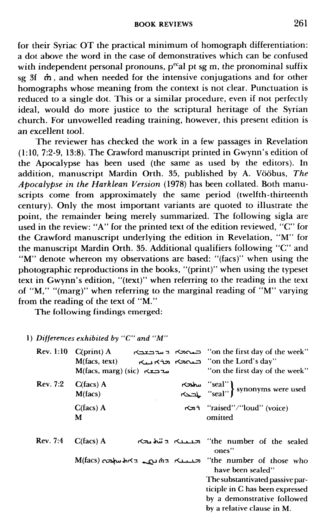for their Syriac OT the practical minimum of homograph differentiation: a dot above the word in the case of demonstratives which can be confused with independent personal pronouns,  $p^{ec}$ al pt sg m, the pronominal suffix sg 3f **m** , and when needed for the intensive conjugations and for other homographs whose meaning from the context is not clear. Punctuation is reduced to a single dot. This or a similar procedure, even if not perfectly ideal, would do more justice to the scriptural heritage of the Syrian church. For unvowelled reading training, however, this present edition is an excellent tool.

The reviewer has checked the work in a few passages in Revelation (1:10, 7:2-9, 13:8). The Crawford manuscript printed in Gwynn's edition of the Apocalypse has been used (the same as used by the editors). In addition, manuscript Mardin Orth. 35, published by A. Vööbus, *The Apocalypse in the Harklean Version* (1978) has been collated. Both manuscripts come from approximately the same period (twelfth-thirteenth century). Only the most important variants are quoted to illustrate the point, the remainder being merely summarized. The following sigla are used in the review: "A" for the printed text of the edition reviewed, "C" for the Crawford manuscript underlying the edition in Revelation, "M" for the manuscript Mardin Orth. 35. Additional qualifiers following "C" and "M" denote whereon my observations are based: "(facs)" when using the photographic reproductions in the books, "(print)" when using the typeset text in Gwynn's edition, "(text)" when referring to the reading in the text of "M," "(marg)" when referring to the marginal reading of "M" varying from the reading of the text of "M."

The following findings emerged:

*1) Differences exhibiled by "C" and "M"* 

|                  | Differences exhibited by "C" and "M"                        |  |                                                                                                                                                                                  |
|------------------|-------------------------------------------------------------|--|----------------------------------------------------------------------------------------------------------------------------------------------------------------------------------|
| <b>Rev. 1:10</b> | $C(print)$ A<br>M(facs, text)<br>M(facs, marg) (sic) مەدىكە |  | on the first day of the week'' ⊏⊾המה היה בצבא<br>on the Lord's day'' شبہ اسکہ اسک<br>"on the first day of the week"                                                              |
| <b>Rev. 7:2</b>  | $C(facs)$ A<br>M(facs)                                      |  | seal" synonyms were used<br>$\left\{\begin{array}{l}\n\text{``seal''}\n\end{array}\right\}$ synonyms were used                                                                   |
|                  | $C(facs)$ A<br>М                                            |  | רכא "raised"/"loud" (voice)<br>omitted                                                                                                                                           |
| Rev. 7:4         | $C(facs)$ A                                                 |  | he number of the sealed المحمد المتعلم المتعالى<br>ones"                                                                                                                         |
|                  | $M(facs)$ $\alpha$ לאלמה החול                               |  | "the number of those who<br>have been sealed"<br>The substantivated passive par-<br>ticiple in C has been expressed<br>by a demonstrative followed<br>by a relative clause in M. |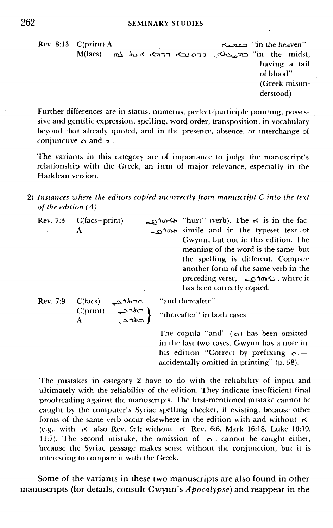SEMINARY STUDIES<br>"in the heaven" (בצבע "in the heaven" (print) A "in the heaven"<br>"in the mids" (באבארא). דרס נבא דרכא את לא באמא") ''in the heaven'' **caxaxa come case cases'''**<br>au 6 hr **AU 6 hraz (xAN). הרחנב**> הרגא את M(facs) m having a tail of blood" (Greek misunderstood)

Further differences are in status, numerus, perfect/participle pointing, possessive and gentilic expression, spelling, word order, transposition, in vocabulary beyond that already quoted, and in the presence, absence, or interchange of conjunctive **c\** and 3 .

The variants in this category are of importance to judge the manuscript's relationship with the Greek, an item of major relevance, especially in the Harklean version.

**2)** *Instances where the editors copied incorrectly from manuscript C into the text of the edition (A)* 

| <b>Rev. 7:3</b> | $C(facs + print)$                                                                        | האדרס (verb). The $\kappa$ is in the fac-      |  |
|-----------------|------------------------------------------------------------------------------------------|------------------------------------------------|--|
|                 | A                                                                                        | a to simile and in the typeset text of         |  |
|                 |                                                                                          | Gwynn, but not in this edition. The            |  |
|                 |                                                                                          | meaning of the word is the same, but           |  |
|                 |                                                                                          | the spelling is different. Compare             |  |
|                 |                                                                                          | another form of the same verb in the           |  |
|                 |                                                                                          | where it , where it , where it                 |  |
|                 |                                                                                          | has been correctly copied.                     |  |
| Rev. 7.9        | C(facs)<br>محمدهم                                                                        | "and thereafter"                               |  |
|                 | $\begin{bmatrix} \text{C(print)} & \text{C+} \ \text{C+} & \text{C+} \end{bmatrix}$<br>A | "thereafter" in both cases                     |  |
|                 |                                                                                          | The copula "and" ( $\alpha$ ) has been omitted |  |
|                 |                                                                                          | in the last two cases. Gwynn has a note in     |  |
|                 |                                                                                          | his edition "Correct by prefixing $\alpha$ .—  |  |

The mistakes in category 2 have to do with the reliability of input and ultimately with the reliability of the edition. They indicate insufficient final proofreading against the manuscripts. The first-mentioned mistake cannot be caught by the computer's Syriac spelling checker, if existing, because other forms of the same verb occur elsewhere in the edition with and without  $\boldsymbol{\kappa}$ (e.g., with **r<** also Rev. 9:1; without **ri** Rev. 6:6, Mark 16:18, Luke 10:19, 11:7). The second mistake, the omission of  $\alpha$ , cannot be caught either, because the Syriac passage makes sense without the conjunction, but it is interesting to compare it with the Greek.

accidentally omitted in printing" (p. 58).

Some of the variants in these two manuscripts are also found in other manuscripts (for details, consult Gwynn's *Apocalypse*) and reappear in the